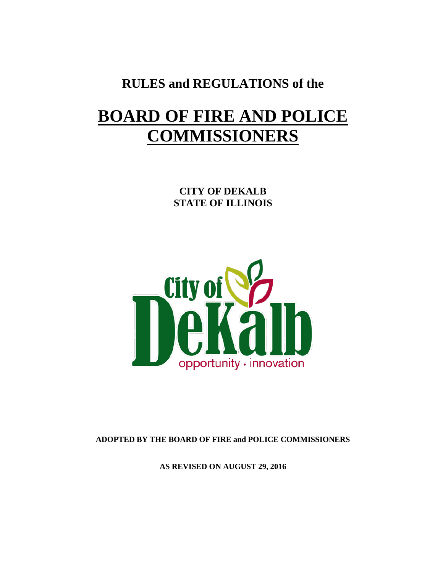## **RULES and REGULATIONS of the**

# **BOARD OF FIRE AND POLICE COMMISSIONERS**

**CITY OF DEKALB STATE OF ILLINOIS**



**ADOPTED BY THE BOARD OF FIRE and POLICE COMMISSIONERS**

**AS REVISED ON AUGUST 29, 2016**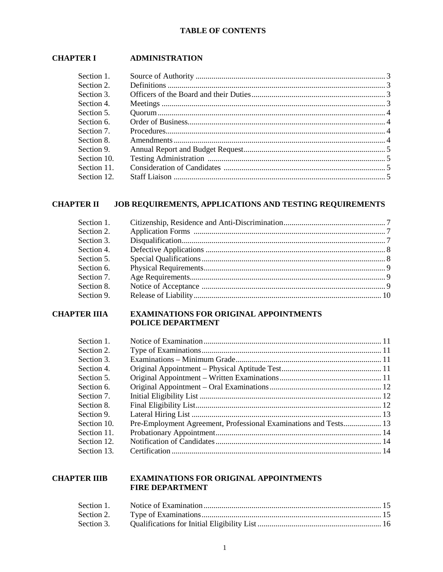#### **TABLE OF CONTENTS**

### **CHAPTER I ADMINISTRATION**

| Section 1.  |  |
|-------------|--|
| Section 2.  |  |
| Section 3.  |  |
| Section 4.  |  |
| Section 5.  |  |
| Section 6.  |  |
| Section 7.  |  |
| Section 8.  |  |
| Section 9.  |  |
| Section 10. |  |
| Section 11. |  |
| Section 12. |  |

#### **CHAPTER II JOB REQUIREMENTS, APPLICATIONS AND TESTING REQUIREMENTS**

| Section 1. |  |
|------------|--|
| Section 2. |  |
| Section 3. |  |
| Section 4. |  |
| Section 5. |  |
| Section 6. |  |
| Section 7. |  |
| Section 8. |  |
| Section 9. |  |
|            |  |

#### **CHAPTER IIIA EXAMINATIONS FOR ORIGINAL APPOINTMENTS** POLICE DEPARTMENT

| Section 1.  |                                                                  |  |
|-------------|------------------------------------------------------------------|--|
| Section 2.  |                                                                  |  |
| Section 3.  |                                                                  |  |
| Section 4.  |                                                                  |  |
| Section 5.  |                                                                  |  |
| Section 6.  |                                                                  |  |
| Section 7.  |                                                                  |  |
| Section 8.  |                                                                  |  |
| Section 9.  |                                                                  |  |
| Section 10. | Pre-Employment Agreement, Professional Examinations and Tests 13 |  |
| Section 11. |                                                                  |  |
| Section 12. |                                                                  |  |
| Section 13. |                                                                  |  |

#### **CHAPTER IIIB EXAMINATIONS FOR ORIGINAL APPOINTMENTS FIRE DEPARTMENT**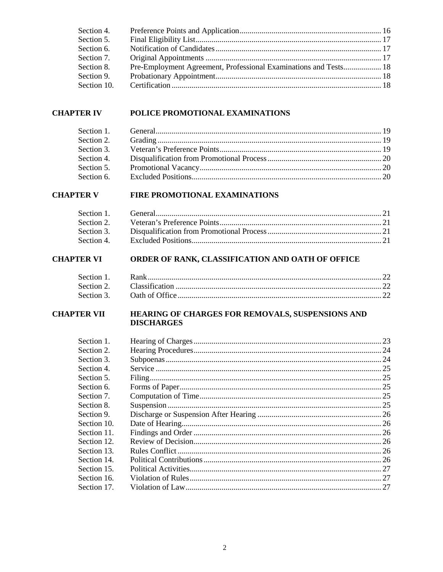| Section 4.  |                                                                  |  |
|-------------|------------------------------------------------------------------|--|
| Section 5.  |                                                                  |  |
| Section 6.  |                                                                  |  |
| Section 7.  |                                                                  |  |
| Section 8.  | Pre-Employment Agreement, Professional Examinations and Tests 18 |  |
| Section 9.  |                                                                  |  |
| Section 10. |                                                                  |  |

#### **CHAPTER IV POLICE PROMOTIONAL EXAMINATIONS**

#### **CHAPTER V FIRE PROMOTIONAL EXAMINATIONS**

### CHAPTER VI ORDER OF RANK, CLASSIFICATION AND OATH OF OFFICE

| Section 1. |  |
|------------|--|
|            |  |
|            |  |

#### **CHAPTER VII HEARING OF CHARGES FOR REMOVALS, SUSPENSIONS AND DISCHARGES**

| Section 2.<br>Section 3.<br>Section 4.<br>Section 5.<br>Section 6. |
|--------------------------------------------------------------------|
|                                                                    |
|                                                                    |
|                                                                    |
|                                                                    |
|                                                                    |
| Section 7.                                                         |
| Section 8.                                                         |
| Section 9.                                                         |
| Section 10.                                                        |
| Section 11.                                                        |
| Section 12.                                                        |
| Section 13.                                                        |
| Section 14.                                                        |
| Section 15.                                                        |
| Section 16.                                                        |
| Section 17.                                                        |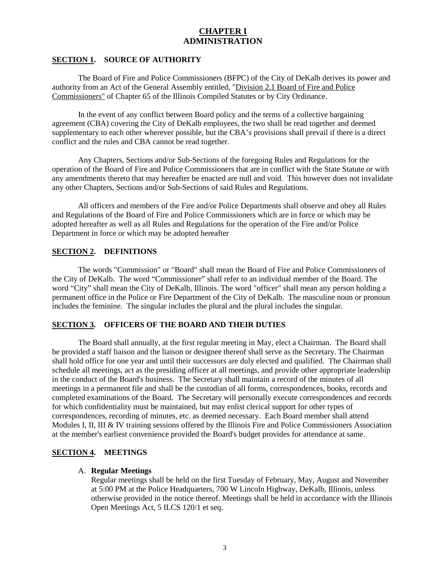### **CHAPTER I ADMINISTRATION**

#### **SECTION 1. SOURCE OF AUTHORITY**

The Board of Fire and Police Commissioners (BFPC) of the City of DeKalb derives its power and authority from an Act of the General Assembly entitled, "Division 2.1 Board of Fire and Police Commissioners" of Chapter 65 of the Illinois Compiled Statutes or by City Ordinance.

In the event of any conflict between Board policy and the terms of a collective bargaining agreement (CBA) covering the City of DeKalb employees, the two shall be read together and deemed supplementary to each other wherever possible, but the CBA's provisions shall prevail if there is a direct conflict and the rules and CBA cannot be read together.

Any Chapters, Sections and/or Sub-Sections of the foregoing Rules and Regulations for the operation of the Board of Fire and Police Commissioners that are in conflict with the State Statute or with any amendments thereto that may hereafter be enacted are null and void. This however does not invalidate any other Chapters, Sections and/or Sub-Sections of said Rules and Regulations.

All officers and members of the Fire and/or Police Departments shall observe and obey all Rules and Regulations of the Board of Fire and Police Commissioners which are in force or which may be adopted hereafter as well as all Rules and Regulations for the operation of the Fire and/or Police Department in force or which may be adopted hereafter

#### **SECTION 2. DEFINITIONS**

The words "Commission" or "Board" shall mean the Board of Fire and Police Commissioners of the City of DeKalb. The word "Commissioner" shall refer to an individual member of the Board. The word "City" shall mean the City of DeKalb, Illinois. The word "officer" shall mean any person holding a permanent office in the Police or Fire Department of the City of DeKalb. The masculine noun or pronoun includes the feminine. The singular includes the plural and the plural includes the singular.

#### **SECTION 3. OFFICERS OF THE BOARD AND THEIR DUTIES**

The Board shall annually, at the first regular meeting in May, elect a Chairman. The Board shall be provided a staff liaison and the liaison or designee thereof shall serve as the Secretary. The Chairman shall hold office for one year and until their successors are duly elected and qualified. The Chairman shall schedule all meetings, act as the presiding officer at all meetings, and provide other appropriate leadership in the conduct of the Board's business. The Secretary shall maintain a record of the minutes of all meetings in a permanent file and shall be the custodian of all forms, correspondences, books, records and completed examinations of the Board. The Secretary will personally execute correspondences and records for which confidentiality must be maintained, but may enlist clerical support for other types of correspondences, recording of minutes, etc. as deemed necessary. Each Board member shall attend Modules I, II, III & IV training sessions offered by the Illinois Fire and Police Commissioners Association at the member's earliest convenience provided the Board's budget provides for attendance at same.

#### **SECTION 4. MEETINGS**

#### A. **Regular Meetings**

Regular meetings shall be held on the first Tuesday of February, May, August and November at 5:00 PM at the Police Headquarters, 700 W Lincoln Highway, DeKalb, Illinois, unless otherwise provided in the notice thereof. Meetings shall be held in accordance with the Illinois Open Meetings Act, 5 ILCS 120/1 et seq.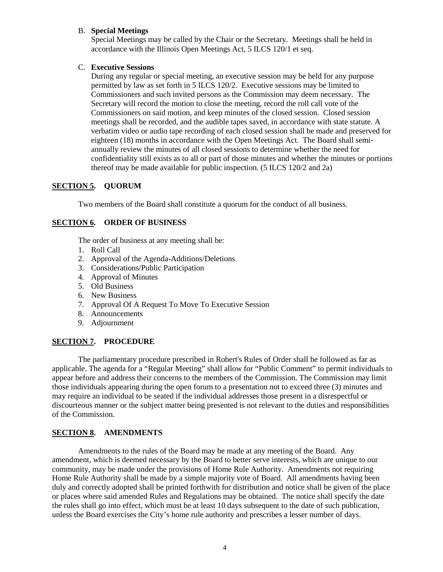#### B. **Special Meetings**

Special Meetings may be called by the Chair or the Secretary. Meetings shall be held in accordance with the Illinois Open Meetings Act, 5 ILCS 120/1 et seq.

#### C. **Executive Sessions**

During any regular or special meeting, an executive session may be held for any purpose permitted by law as set forth in 5 ILCS 120/2. Executive sessions may be limited to Commissioners and such invited persons as the Commission may deem necessary. The Secretary will record the motion to close the meeting, record the roll call vote of the Commissioners on said motion, and keep minutes of the closed session. Closed session meetings shall be recorded, and the audible tapes saved, in accordance with state statute. A verbatim video or audio tape recording of each closed session shall be made and preserved for eighteen (18) months in accordance with the Open Meetings Act. The Board shall semiannually review the minutes of all closed sessions to determine whether the need for confidentiality still exists as to all or part of those minutes and whether the minutes or portions thereof may be made available for public inspection. (5 ILCS 120/2 and 2a)

#### **SECTION 5. QUORUM**

Two members of the Board shall constitute a quorum for the conduct of all business.

#### **SECTION 6. ORDER OF BUSINESS**

The order of business at any meeting shall be:

- 1. Roll Call
- 2. Approval of the Agenda-Additions/Deletions
- 3. Considerations/Public Participation
- 4. Approval of Minutes
- 5. Old Business
- 6. New Business
- 7. Approval Of A Request To Move To Executive Session
- 8. Announcements
- 9. Adjournment

#### **SECTION 7. PROCEDURE**

The parliamentary procedure prescribed in Robert's Rules of Order shall be followed as far as applicable. The agenda for a "Regular Meeting" shall allow for "Public Comment" to permit individuals to appear before and address their concerns to the members of the Commission. The Commission may limit those individuals appearing during the open forum to a presentation not to exceed three (3) minutes and may require an individual to be seated if the individual addresses those present in a disrespectful or discourteous manner or the subject matter being presented is not relevant to the duties and responsibilities of the Commission.

#### **SECTION 8. AMENDMENTS**

Amendments to the rules of the Board may be made at any meeting of the Board. Any amendment, which is deemed necessary by the Board to better serve interests, which are unique to our community, may be made under the provisions of Home Rule Authority. Amendments not requiring Home Rule Authority shall be made by a simple majority vote of Board. All amendments having been duly and correctly adopted shall be printed forthwith for distribution and notice shall be given of the place or places where said amended Rules and Regulations may be obtained. The notice shall specify the date the rules shall go into effect, which must be at least 10 days subsequent to the date of such publication, unless the Board exercises the City's home rule authority and prescribes a lesser number of days.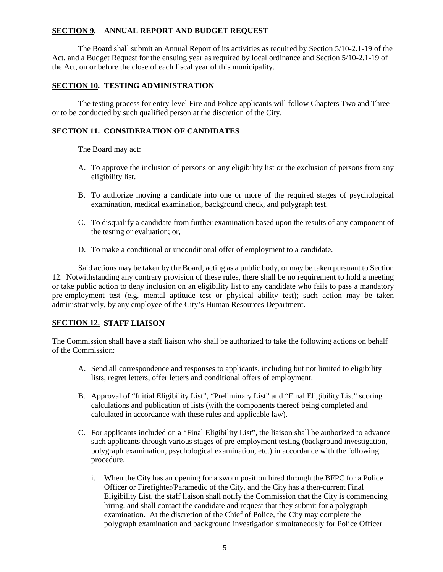#### **SECTION 9. ANNUAL REPORT AND BUDGET REQUEST**

The Board shall submit an Annual Report of its activities as required by Section 5/10-2.1-19 of the Act, and a Budget Request for the ensuing year as required by local ordinance and Section 5/10-2.1-19 of the Act, on or before the close of each fiscal year of this municipality.

#### **SECTION 10. TESTING ADMINISTRATION**

The testing process for entry-level Fire and Police applicants will follow Chapters Two and Three or to be conducted by such qualified person at the discretion of the City.

#### **SECTION 11. CONSIDERATION OF CANDIDATES**

The Board may act:

- A. To approve the inclusion of persons on any eligibility list or the exclusion of persons from any eligibility list.
- B. To authorize moving a candidate into one or more of the required stages of psychological examination, medical examination, background check, and polygraph test.
- C. To disqualify a candidate from further examination based upon the results of any component of the testing or evaluation; or,
- D. To make a conditional or unconditional offer of employment to a candidate.

Said actions may be taken by the Board, acting as a public body, or may be taken pursuant to Section 12. Notwithstanding any contrary provision of these rules, there shall be no requirement to hold a meeting or take public action to deny inclusion on an eligibility list to any candidate who fails to pass a mandatory pre-employment test (e.g. mental aptitude test or physical ability test); such action may be taken administratively, by any employee of the City's Human Resources Department.

#### **SECTION 12. STAFF LIAISON**

The Commission shall have a staff liaison who shall be authorized to take the following actions on behalf of the Commission:

- A. Send all correspondence and responses to applicants, including but not limited to eligibility lists, regret letters, offer letters and conditional offers of employment.
- B. Approval of "Initial Eligibility List", "Preliminary List" and "Final Eligibility List" scoring calculations and publication of lists (with the components thereof being completed and calculated in accordance with these rules and applicable law).
- C. For applicants included on a "Final Eligibility List", the liaison shall be authorized to advance such applicants through various stages of pre-employment testing (background investigation, polygraph examination, psychological examination, etc.) in accordance with the following procedure.
	- i. When the City has an opening for a sworn position hired through the BFPC for a Police Officer or Firefighter/Paramedic of the City, and the City has a then-current Final Eligibility List, the staff liaison shall notify the Commission that the City is commencing hiring, and shall contact the candidate and request that they submit for a polygraph examination. At the discretion of the Chief of Police, the City may complete the polygraph examination and background investigation simultaneously for Police Officer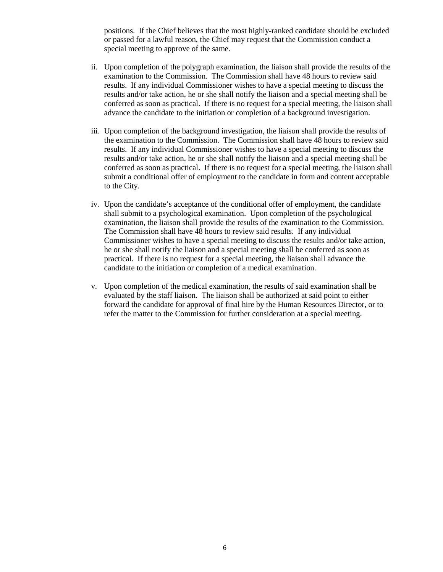positions. If the Chief believes that the most highly-ranked candidate should be excluded or passed for a lawful reason, the Chief may request that the Commission conduct a special meeting to approve of the same.

- ii. Upon completion of the polygraph examination, the liaison shall provide the results of the examination to the Commission. The Commission shall have 48 hours to review said results. If any individual Commissioner wishes to have a special meeting to discuss the results and/or take action, he or she shall notify the liaison and a special meeting shall be conferred as soon as practical. If there is no request for a special meeting, the liaison shall advance the candidate to the initiation or completion of a background investigation.
- iii. Upon completion of the background investigation, the liaison shall provide the results of the examination to the Commission. The Commission shall have 48 hours to review said results. If any individual Commissioner wishes to have a special meeting to discuss the results and/or take action, he or she shall notify the liaison and a special meeting shall be conferred as soon as practical. If there is no request for a special meeting, the liaison shall submit a conditional offer of employment to the candidate in form and content acceptable to the City.
- iv. Upon the candidate's acceptance of the conditional offer of employment, the candidate shall submit to a psychological examination. Upon completion of the psychological examination, the liaison shall provide the results of the examination to the Commission. The Commission shall have 48 hours to review said results. If any individual Commissioner wishes to have a special meeting to discuss the results and/or take action, he or she shall notify the liaison and a special meeting shall be conferred as soon as practical. If there is no request for a special meeting, the liaison shall advance the candidate to the initiation or completion of a medical examination.
- v. Upon completion of the medical examination, the results of said examination shall be evaluated by the staff liaison. The liaison shall be authorized at said point to either forward the candidate for approval of final hire by the Human Resources Director, or to refer the matter to the Commission for further consideration at a special meeting.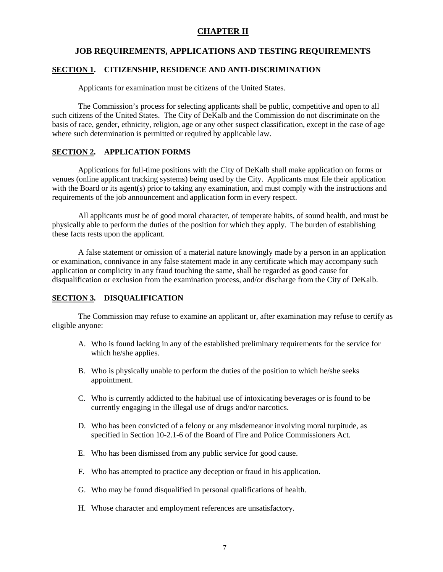#### **CHAPTER II**

#### **JOB REQUIREMENTS, APPLICATIONS AND TESTING REQUIREMENTS**

#### **SECTION 1. CITIZENSHIP, RESIDENCE AND ANTI-DISCRIMINATION**

Applicants for examination must be citizens of the United States.

The Commission's process for selecting applicants shall be public, competitive and open to all such citizens of the United States. The City of DeKalb and the Commission do not discriminate on the basis of race, gender, ethnicity, religion, age or any other suspect classification, except in the case of age where such determination is permitted or required by applicable law.

#### **SECTION 2. APPLICATION FORMS**

Applications for full-time positions with the City of DeKalb shall make application on forms or venues (online applicant tracking systems) being used by the City. Applicants must file their application with the Board or its agent(s) prior to taking any examination, and must comply with the instructions and requirements of the job announcement and application form in every respect.

All applicants must be of good moral character, of temperate habits, of sound health, and must be physically able to perform the duties of the position for which they apply. The burden of establishing these facts rests upon the applicant.

A false statement or omission of a material nature knowingly made by a person in an application or examination, connivance in any false statement made in any certificate which may accompany such application or complicity in any fraud touching the same, shall be regarded as good cause for disqualification or exclusion from the examination process, and/or discharge from the City of DeKalb.

#### **SECTION 3. DISQUALIFICATION**

The Commission may refuse to examine an applicant or, after examination may refuse to certify as eligible anyone:

- A. Who is found lacking in any of the established preliminary requirements for the service for which he/she applies.
- B. Who is physically unable to perform the duties of the position to which he/she seeks appointment.
- C. Who is currently addicted to the habitual use of intoxicating beverages or is found to be currently engaging in the illegal use of drugs and/or narcotics.
- D. Who has been convicted of a felony or any misdemeanor involving moral turpitude, as specified in Section 10-2.1-6 of the Board of Fire and Police Commissioners Act.
- E. Who has been dismissed from any public service for good cause.
- F. Who has attempted to practice any deception or fraud in his application.
- G. Who may be found disqualified in personal qualifications of health.
- H. Whose character and employment references are unsatisfactory.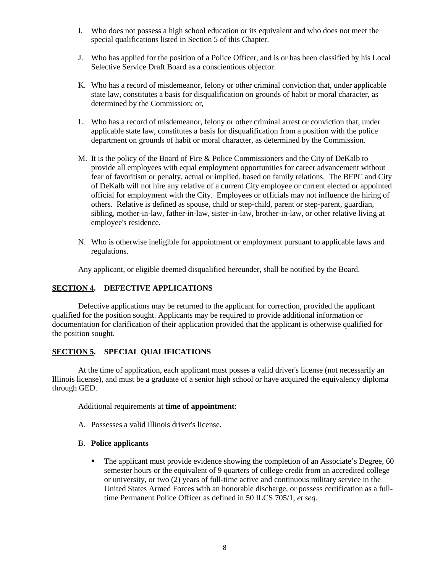- I. Who does not possess a high school education or its equivalent and who does not meet the special qualifications listed in Section 5 of this Chapter.
- J. Who has applied for the position of a Police Officer, and is or has been classified by his Local Selective Service Draft Board as a conscientious objector.
- K. Who has a record of misdemeanor, felony or other criminal conviction that, under applicable state law, constitutes a basis for disqualification on grounds of habit or moral character, as determined by the Commission; or,
- L. Who has a record of misdemeanor, felony or other criminal arrest or conviction that, under applicable state law, constitutes a basis for disqualification from a position with the police department on grounds of habit or moral character, as determined by the Commission.
- M. It is the policy of the Board of Fire & Police Commissioners and the City of DeKalb to provide all employees with equal employment opportunities for career advancement without fear of favoritism or penalty, actual or implied, based on family relations. The BFPC and City of DeKalb will not hire any relative of a current City employee or current elected or appointed official for employment with the City. Employees or officials may not influence the hiring of others. Relative is defined as spouse, child or step-child, parent or step-parent, guardian, sibling, mother-in-law, father-in-law, sister-in-law, brother-in-law, or other relative living at employee's residence.
- N. Who is otherwise ineligible for appointment or employment pursuant to applicable laws and regulations.

Any applicant, or eligible deemed disqualified hereunder, shall be notified by the Board.

#### **SECTION 4. DEFECTIVE APPLICATIONS**

Defective applications may be returned to the applicant for correction, provided the applicant qualified for the position sought. Applicants may be required to provide additional information or documentation for clarification of their application provided that the applicant is otherwise qualified for the position sought.

#### **SECTION 5. SPECIAL QUALIFICATIONS**

At the time of application, each applicant must posses a valid driver's license (not necessarily an Illinois license), and must be a graduate of a senior high school or have acquired the equivalency diploma through GED.

Additional requirements at **time of appointment**:

A. Possesses a valid Illinois driver's license.

#### B. **Police applicants**

The applicant must provide evidence showing the completion of an Associate's Degree, 60 semester hours or the equivalent of 9 quarters of college credit from an accredited college or university, or two (2) years of full-time active and continuous military service in the United States Armed Forces with an honorable discharge, or possess certification as a fulltime Permanent Police Officer as defined in 50 ILCS 705/1, *et seq*.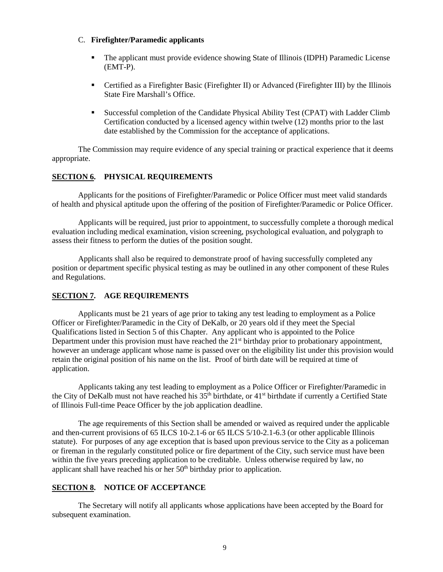#### C. **Firefighter/Paramedic applicants**

- The applicant must provide evidence showing State of Illinois (IDPH) Paramedic License (EMT-P).
- Certified as a Firefighter Basic (Firefighter II) or Advanced (Firefighter III) by the Illinois State Fire Marshall's Office.
- Successful completion of the Candidate Physical Ability Test (CPAT) with Ladder Climb Certification conducted by a licensed agency within twelve (12) months prior to the last date established by the Commission for the acceptance of applications.

The Commission may require evidence of any special training or practical experience that it deems appropriate.

#### **SECTION 6. PHYSICAL REQUIREMENTS**

Applicants for the positions of Firefighter/Paramedic or Police Officer must meet valid standards of health and physical aptitude upon the offering of the position of Firefighter/Paramedic or Police Officer.

Applicants will be required, just prior to appointment, to successfully complete a thorough medical evaluation including medical examination, vision screening, psychological evaluation, and polygraph to assess their fitness to perform the duties of the position sought.

Applicants shall also be required to demonstrate proof of having successfully completed any position or department specific physical testing as may be outlined in any other component of these Rules and Regulations.

#### **SECTION 7. AGE REQUIREMENTS**

Applicants must be 21 years of age prior to taking any test leading to employment as a Police Officer or Firefighter/Paramedic in the City of DeKalb, or 20 years old if they meet the Special Qualifications listed in Section 5 of this Chapter. Any applicant who is appointed to the Police Department under this provision must have reached the 21<sup>st</sup> birthday prior to probationary appointment, however an underage applicant whose name is passed over on the eligibility list under this provision would retain the original position of his name on the list. Proof of birth date will be required at time of application.

Applicants taking any test leading to employment as a Police Officer or Firefighter/Paramedic in the City of DeKalb must not have reached his  $35<sup>th</sup>$  birthdate, or  $41<sup>st</sup>$  birthdate if currently a Certified State of Illinois Full-time Peace Officer by the job application deadline.

The age requirements of this Section shall be amended or waived as required under the applicable and then-current provisions of 65 ILCS 10-2.1-6 or 65 ILCS 5/10-2.1-6.3 (or other applicable Illinois statute). For purposes of any age exception that is based upon previous service to the City as a policeman or fireman in the regularly constituted police or fire department of the City, such service must have been within the five years preceding application to be creditable. Unless otherwise required by law, no applicant shall have reached his or her  $50<sup>th</sup>$  birthday prior to application.

#### **SECTION 8. NOTICE OF ACCEPTANCE**

The Secretary will notify all applicants whose applications have been accepted by the Board for subsequent examination.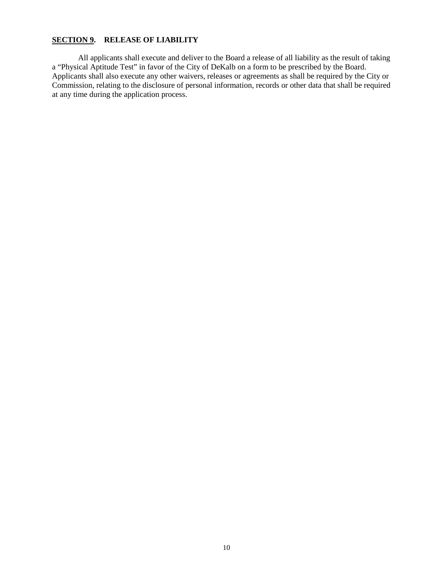#### **SECTION 9. RELEASE OF LIABILITY**

All applicants shall execute and deliver to the Board a release of all liability as the result of taking a "Physical Aptitude Test" in favor of the City of DeKalb on a form to be prescribed by the Board. Applicants shall also execute any other waivers, releases or agreements as shall be required by the City or Commission, relating to the disclosure of personal information, records or other data that shall be required at any time during the application process.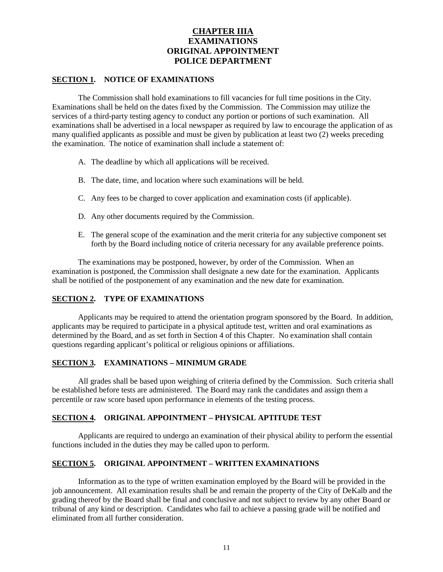### **CHAPTER IIIA EXAMINATIONS ORIGINAL APPOINTMENT POLICE DEPARTMENT**

#### **SECTION 1. NOTICE OF EXAMINATIONS**

The Commission shall hold examinations to fill vacancies for full time positions in the City. Examinations shall be held on the dates fixed by the Commission. The Commission may utilize the services of a third-party testing agency to conduct any portion or portions of such examination. All examinations shall be advertised in a local newspaper as required by law to encourage the application of as many qualified applicants as possible and must be given by publication at least two (2) weeks preceding the examination. The notice of examination shall include a statement of:

- A. The deadline by which all applications will be received.
- B. The date, time, and location where such examinations will be held.
- C. Any fees to be charged to cover application and examination costs (if applicable).
- D. Any other documents required by the Commission.
- E. The general scope of the examination and the merit criteria for any subjective component set forth by the Board including notice of criteria necessary for any available preference points.

The examinations may be postponed, however, by order of the Commission. When an examination is postponed, the Commission shall designate a new date for the examination. Applicants shall be notified of the postponement of any examination and the new date for examination.

#### **SECTION 2. TYPE OF EXAMINATIONS**

Applicants may be required to attend the orientation program sponsored by the Board. In addition, applicants may be required to participate in a physical aptitude test, written and oral examinations as determined by the Board, and as set forth in Section 4 of this Chapter. No examination shall contain questions regarding applicant's political or religious opinions or affiliations.

#### **SECTION 3. EXAMINATIONS – MINIMUM GRADE**

All grades shall be based upon weighing of criteria defined by the Commission. Such criteria shall be established before tests are administered. The Board may rank the candidates and assign them a percentile or raw score based upon performance in elements of the testing process.

#### **SECTION 4. ORIGINAL APPOINTMENT – PHYSICAL APTITUDE TEST**

Applicants are required to undergo an examination of their physical ability to perform the essential functions included in the duties they may be called upon to perform.

#### **SECTION 5. ORIGINAL APPOINTMENT – WRITTEN EXAMINATIONS**

Information as to the type of written examination employed by the Board will be provided in the job announcement. All examination results shall be and remain the property of the City of DeKalb and the grading thereof by the Board shall be final and conclusive and not subject to review by any other Board or tribunal of any kind or description. Candidates who fail to achieve a passing grade will be notified and eliminated from all further consideration.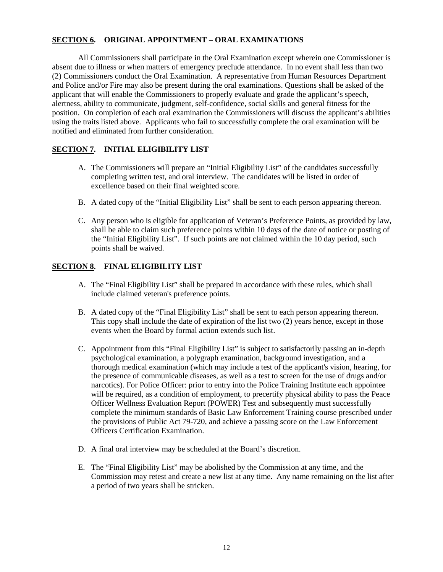#### **SECTION 6. ORIGINAL APPOINTMENT – ORAL EXAMINATIONS**

All Commissioners shall participate in the Oral Examination except wherein one Commissioner is absent due to illness or when matters of emergency preclude attendance. In no event shall less than two (2) Commissioners conduct the Oral Examination. A representative from Human Resources Department and Police and/or Fire may also be present during the oral examinations. Questions shall be asked of the applicant that will enable the Commissioners to properly evaluate and grade the applicant's speech, alertness, ability to communicate, judgment, self-confidence, social skills and general fitness for the position. On completion of each oral examination the Commissioners will discuss the applicant's abilities using the traits listed above. Applicants who fail to successfully complete the oral examination will be notified and eliminated from further consideration.

#### **SECTION 7. INITIAL ELIGIBILITY LIST**

- A. The Commissioners will prepare an "Initial Eligibility List" of the candidates successfully completing written test, and oral interview. The candidates will be listed in order of excellence based on their final weighted score.
- B. A dated copy of the "Initial Eligibility List" shall be sent to each person appearing thereon.
- C. Any person who is eligible for application of Veteran's Preference Points, as provided by law, shall be able to claim such preference points within 10 days of the date of notice or posting of the "Initial Eligibility List". If such points are not claimed within the 10 day period, such points shall be waived.

#### **SECTION 8. FINAL ELIGIBILITY LIST**

- A. The "Final Eligibility List" shall be prepared in accordance with these rules, which shall include claimed veteran's preference points.
- B. A dated copy of the "Final Eligibility List" shall be sent to each person appearing thereon. This copy shall include the date of expiration of the list two (2) years hence, except in those events when the Board by formal action extends such list.
- C. Appointment from this "Final Eligibility List" is subject to satisfactorily passing an in-depth psychological examination, a polygraph examination, background investigation, and a thorough medical examination (which may include a test of the applicant's vision, hearing, for the presence of communicable diseases, as well as a test to screen for the use of drugs and/or narcotics). For Police Officer: prior to entry into the Police Training Institute each appointee will be required, as a condition of employment, to precertify physical ability to pass the Peace Officer Wellness Evaluation Report (POWER) Test and subsequently must successfully complete the minimum standards of Basic Law Enforcement Training course prescribed under the provisions of Public Act 79-720, and achieve a passing score on the Law Enforcement Officers Certification Examination.
- D. A final oral interview may be scheduled at the Board's discretion.
- E. The "Final Eligibility List" may be abolished by the Commission at any time, and the Commission may retest and create a new list at any time. Any name remaining on the list after a period of two years shall be stricken.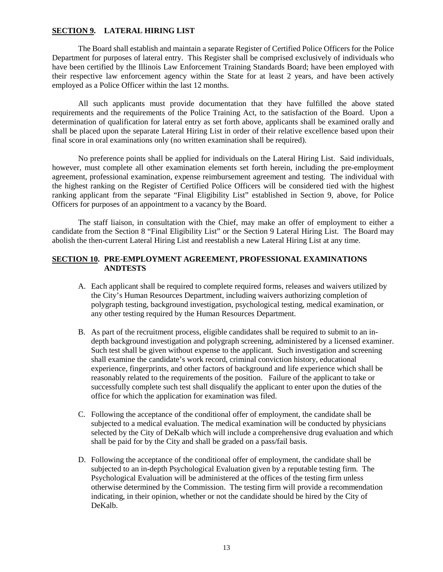#### **SECTION 9. LATERAL HIRING LIST**

The Board shall establish and maintain a separate Register of Certified Police Officers for the Police Department for purposes of lateral entry. This Register shall be comprised exclusively of individuals who have been certified by the Illinois Law Enforcement Training Standards Board; have been employed with their respective law enforcement agency within the State for at least 2 years, and have been actively employed as a Police Officer within the last 12 months.

All such applicants must provide documentation that they have fulfilled the above stated requirements and the requirements of the Police Training Act, to the satisfaction of the Board. Upon a determination of qualification for lateral entry as set forth above, applicants shall be examined orally and shall be placed upon the separate Lateral Hiring List in order of their relative excellence based upon their final score in oral examinations only (no written examination shall be required).

No preference points shall be applied for individuals on the Lateral Hiring List. Said individuals, however, must complete all other examination elements set forth herein, including the pre-employment agreement, professional examination, expense reimbursement agreement and testing. The individual with the highest ranking on the Register of Certified Police Officers will be considered tied with the highest ranking applicant from the separate "Final Eligibility List" established in Section 9, above, for Police Officers for purposes of an appointment to a vacancy by the Board.

The staff liaison, in consultation with the Chief, may make an offer of employment to either a candidate from the Section 8 "Final Eligibility List" or the Section 9 Lateral Hiring List. The Board may abolish the then-current Lateral Hiring List and reestablish a new Lateral Hiring List at any time.

#### **SECTION 10. PRE-EMPLOYMENT AGREEMENT, PROFESSIONAL EXAMINATIONS ANDTESTS**

- A. Each applicant shall be required to complete required forms, releases and waivers utilized by the City's Human Resources Department, including waivers authorizing completion of polygraph testing, background investigation, psychological testing, medical examination, or any other testing required by the Human Resources Department.
- B. As part of the recruitment process, eligible candidates shall be required to submit to an indepth background investigation and polygraph screening, administered by a licensed examiner. Such test shall be given without expense to the applicant. Such investigation and screening shall examine the candidate's work record, criminal conviction history, educational experience, fingerprints, and other factors of background and life experience which shall be reasonably related to the requirements of the position. Failure of the applicant to take or successfully complete such test shall disqualify the applicant to enter upon the duties of the office for which the application for examination was filed.
- C. Following the acceptance of the conditional offer of employment, the candidate shall be subjected to a medical evaluation. The medical examination will be conducted by physicians selected by the City of DeKalb which will include a comprehensive drug evaluation and which shall be paid for by the City and shall be graded on a pass/fail basis.
- D. Following the acceptance of the conditional offer of employment, the candidate shall be subjected to an in-depth Psychological Evaluation given by a reputable testing firm. The Psychological Evaluation will be administered at the offices of the testing firm unless otherwise determined by the Commission. The testing firm will provide a recommendation indicating, in their opinion, whether or not the candidate should be hired by the City of DeKalb.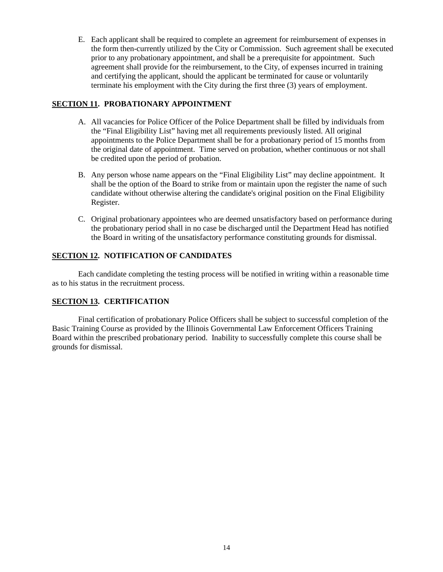E. Each applicant shall be required to complete an agreement for reimbursement of expenses in the form then-currently utilized by the City or Commission. Such agreement shall be executed prior to any probationary appointment, and shall be a prerequisite for appointment. Such agreement shall provide for the reimbursement, to the City, of expenses incurred in training and certifying the applicant, should the applicant be terminated for cause or voluntarily terminate his employment with the City during the first three (3) years of employment.

#### **SECTION 11. PROBATIONARY APPOINTMENT**

- A. All vacancies for Police Officer of the Police Department shall be filled by individuals from the "Final Eligibility List" having met all requirements previously listed. All original appointments to the Police Department shall be for a probationary period of 15 months from the original date of appointment. Time served on probation, whether continuous or not shall be credited upon the period of probation.
- B. Any person whose name appears on the "Final Eligibility List" may decline appointment. It shall be the option of the Board to strike from or maintain upon the register the name of such candidate without otherwise altering the candidate's original position on the Final Eligibility Register.
- C. Original probationary appointees who are deemed unsatisfactory based on performance during the probationary period shall in no case be discharged until the Department Head has notified the Board in writing of the unsatisfactory performance constituting grounds for dismissal.

#### **SECTION 12. NOTIFICATION OF CANDIDATES**

Each candidate completing the testing process will be notified in writing within a reasonable time as to his status in the recruitment process.

#### **SECTION 13. CERTIFICATION**

Final certification of probationary Police Officers shall be subject to successful completion of the Basic Training Course as provided by the Illinois Governmental Law Enforcement Officers Training Board within the prescribed probationary period. Inability to successfully complete this course shall be grounds for dismissal.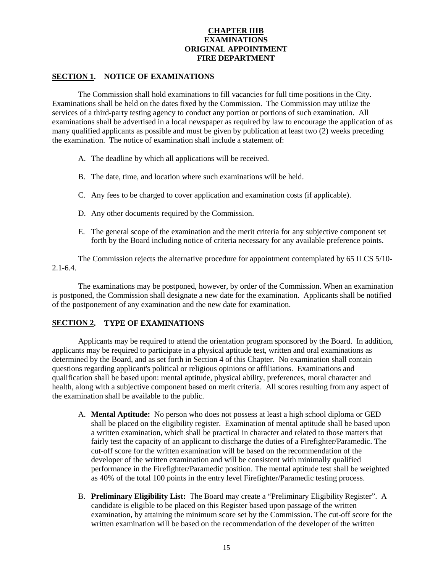#### **CHAPTER IIIB EXAMINATIONS ORIGINAL APPOINTMENT FIRE DEPARTMENT**

#### **SECTION 1. NOTICE OF EXAMINATIONS**

The Commission shall hold examinations to fill vacancies for full time positions in the City. Examinations shall be held on the dates fixed by the Commission. The Commission may utilize the services of a third-party testing agency to conduct any portion or portions of such examination. All examinations shall be advertised in a local newspaper as required by law to encourage the application of as many qualified applicants as possible and must be given by publication at least two (2) weeks preceding the examination. The notice of examination shall include a statement of:

- A. The deadline by which all applications will be received.
- B. The date, time, and location where such examinations will be held.
- C. Any fees to be charged to cover application and examination costs (if applicable).
- D. Any other documents required by the Commission.
- E. The general scope of the examination and the merit criteria for any subjective component set forth by the Board including notice of criteria necessary for any available preference points.

The Commission rejects the alternative procedure for appointment contemplated by 65 ILCS 5/10- 2.1-6.4.

The examinations may be postponed, however, by order of the Commission. When an examination is postponed, the Commission shall designate a new date for the examination. Applicants shall be notified of the postponement of any examination and the new date for examination.

#### **SECTION 2. TYPE OF EXAMINATIONS**

Applicants may be required to attend the orientation program sponsored by the Board. In addition, applicants may be required to participate in a physical aptitude test, written and oral examinations as determined by the Board, and as set forth in Section 4 of this Chapter. No examination shall contain questions regarding applicant's political or religious opinions or affiliations. Examinations and qualification shall be based upon: mental aptitude, physical ability, preferences, moral character and health, along with a subjective component based on merit criteria. All scores resulting from any aspect of the examination shall be available to the public.

- A. **Mental Aptitude:** No person who does not possess at least a high school diploma or GED shall be placed on the eligibility register. Examination of mental aptitude shall be based upon a written examination, which shall be practical in character and related to those matters that fairly test the capacity of an applicant to discharge the duties of a Firefighter/Paramedic. The cut-off score for the written examination will be based on the recommendation of the developer of the written examination and will be consistent with minimally qualified performance in the Firefighter/Paramedic position. The mental aptitude test shall be weighted as 40% of the total 100 points in the entry level Firefighter/Paramedic testing process.
- B. **Preliminary Eligibility List:** The Board may create a "Preliminary Eligibility Register". A candidate is eligible to be placed on this Register based upon passage of the written examination, by attaining the minimum score set by the Commission. The cut-off score for the written examination will be based on the recommendation of the developer of the written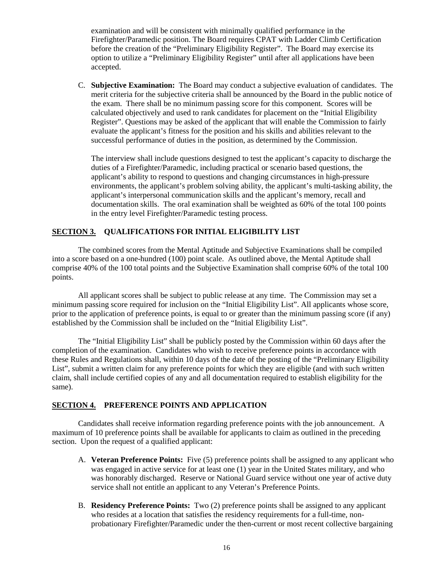examination and will be consistent with minimally qualified performance in the Firefighter/Paramedic position. The Board requires CPAT with Ladder Climb Certification before the creation of the "Preliminary Eligibility Register". The Board may exercise its option to utilize a "Preliminary Eligibility Register" until after all applications have been accepted.

C. **Subjective Examination:** The Board may conduct a subjective evaluation of candidates. The merit criteria for the subjective criteria shall be announced by the Board in the public notice of the exam. There shall be no minimum passing score for this component. Scores will be calculated objectively and used to rank candidates for placement on the "Initial Eligibility Register". Questions may be asked of the applicant that will enable the Commission to fairly evaluate the applicant's fitness for the position and his skills and abilities relevant to the successful performance of duties in the position, as determined by the Commission.

The interview shall include questions designed to test the applicant's capacity to discharge the duties of a Firefighter/Paramedic, including practical or scenario based questions, the applicant's ability to respond to questions and changing circumstances in high-pressure environments, the applicant's problem solving ability, the applicant's multi-tasking ability, the applicant's interpersonal communication skills and the applicant's memory, recall and documentation skills. The oral examination shall be weighted as 60% of the total 100 points in the entry level Firefighter/Paramedic testing process.

#### **SECTION 3. QUALIFICATIONS FOR INITIAL ELIGIBILITY LIST**

The combined scores from the Mental Aptitude and Subjective Examinations shall be compiled into a score based on a one-hundred (100) point scale. As outlined above, the Mental Aptitude shall comprise 40% of the 100 total points and the Subjective Examination shall comprise 60% of the total 100 points.

All applicant scores shall be subject to public release at any time. The Commission may set a minimum passing score required for inclusion on the "Initial Eligibility List". All applicants whose score, prior to the application of preference points, is equal to or greater than the minimum passing score (if any) established by the Commission shall be included on the "Initial Eligibility List".

The "Initial Eligibility List" shall be publicly posted by the Commission within 60 days after the completion of the examination. Candidates who wish to receive preference points in accordance with these Rules and Regulations shall, within 10 days of the date of the posting of the "Preliminary Eligibility List", submit a written claim for any preference points for which they are eligible (and with such written claim, shall include certified copies of any and all documentation required to establish eligibility for the same).

#### **SECTION 4. PREFERENCE POINTS AND APPLICATION**

Candidates shall receive information regarding preference points with the job announcement. A maximum of 10 preference points shall be available for applicants to claim as outlined in the preceding section. Upon the request of a qualified applicant:

- A. **Veteran Preference Points:** Five (5) preference points shall be assigned to any applicant who was engaged in active service for at least one (1) year in the United States military, and who was honorably discharged. Reserve or National Guard service without one year of active duty service shall not entitle an applicant to any Veteran's Preference Points.
- B. **Residency Preference Points:** Two (2) preference points shall be assigned to any applicant who resides at a location that satisfies the residency requirements for a full-time, nonprobationary Firefighter/Paramedic under the then-current or most recent collective bargaining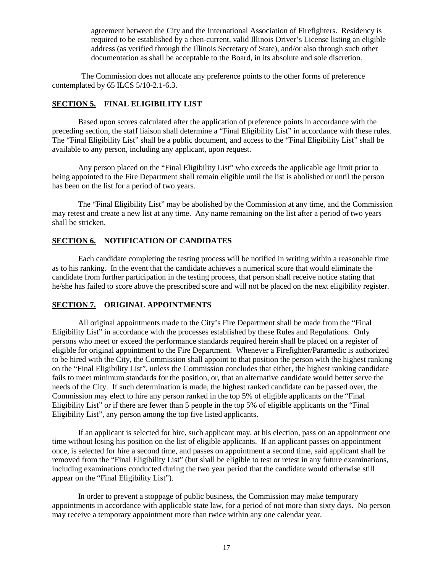agreement between the City and the International Association of Firefighters. Residency is required to be established by a then-current, valid Illinois Driver's License listing an eligible address (as verified through the Illinois Secretary of State), and/or also through such other documentation as shall be acceptable to the Board, in its absolute and sole discretion.

The Commission does not allocate any preference points to the other forms of preference contemplated by 65 ILCS 5/10-2.1-6.3.

#### **SECTION 5. FINAL ELIGIBILITY LIST**

Based upon scores calculated after the application of preference points in accordance with the preceding section, the staff liaison shall determine a "Final Eligibility List" in accordance with these rules. The "Final Eligibility List" shall be a public document, and access to the "Final Eligibility List" shall be available to any person, including any applicant, upon request.

Any person placed on the "Final Eligibility List" who exceeds the applicable age limit prior to being appointed to the Fire Department shall remain eligible until the list is abolished or until the person has been on the list for a period of two years.

The "Final Eligibility List" may be abolished by the Commission at any time, and the Commission may retest and create a new list at any time. Any name remaining on the list after a period of two years shall be stricken.

#### **SECTION 6. NOTIFICATION OF CANDIDATES**

Each candidate completing the testing process will be notified in writing within a reasonable time as to his ranking. In the event that the candidate achieves a numerical score that would eliminate the candidate from further participation in the testing process, that person shall receive notice stating that he/she has failed to score above the prescribed score and will not be placed on the next eligibility register.

#### **SECTION 7. ORIGINAL APPOINTMENTS**

All original appointments made to the City's Fire Department shall be made from the "Final Eligibility List" in accordance with the processes established by these Rules and Regulations. Only persons who meet or exceed the performance standards required herein shall be placed on a register of eligible for original appointment to the Fire Department. Whenever a Firefighter/Paramedic is authorized to be hired with the City, the Commission shall appoint to that position the person with the highest ranking on the "Final Eligibility List", unless the Commission concludes that either, the highest ranking candidate fails to meet minimum standards for the position, or, that an alternative candidate would better serve the needs of the City. If such determination is made, the highest ranked candidate can be passed over, the Commission may elect to hire any person ranked in the top 5% of eligible applicants on the "Final Eligibility List" or if there are fewer than 5 people in the top 5% of eligible applicants on the "Final Eligibility List", any person among the top five listed applicants.

If an applicant is selected for hire, such applicant may, at his election, pass on an appointment one time without losing his position on the list of eligible applicants. If an applicant passes on appointment once, is selected for hire a second time, and passes on appointment a second time, said applicant shall be removed from the "Final Eligibility List" (but shall be eligible to test or retest in any future examinations, including examinations conducted during the two year period that the candidate would otherwise still appear on the "Final Eligibility List").

In order to prevent a stoppage of public business, the Commission may make temporary appointments in accordance with applicable state law, for a period of not more than sixty days. No person may receive a temporary appointment more than twice within any one calendar year.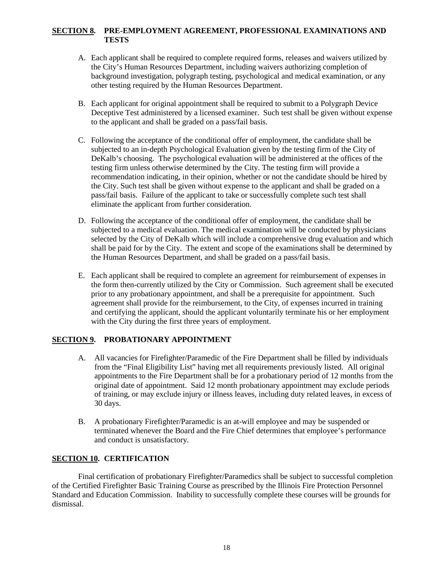#### **SECTION 8. PRE-EMPLOYMENT AGREEMENT, PROFESSIONAL EXAMINATIONS AND TESTS**

- A. Each applicant shall be required to complete required forms, releases and waivers utilized by the City's Human Resources Department, including waivers authorizing completion of background investigation, polygraph testing, psychological and medical examination, or any other testing required by the Human Resources Department.
- B. Each applicant for original appointment shall be required to submit to a Polygraph Device Deceptive Test administered by a licensed examiner. Such test shall be given without expense to the applicant and shall be graded on a pass/fail basis.
- C. Following the acceptance of the conditional offer of employment, the candidate shall be subjected to an in-depth Psychological Evaluation given by the testing firm of the City of DeKalb's choosing. The psychological evaluation will be administered at the offices of the testing firm unless otherwise determined by the City. The testing firm will provide a recommendation indicating, in their opinion, whether or not the candidate should be hired by the City. Such test shall be given without expense to the applicant and shall be graded on a pass/fail basis. Failure of the applicant to take or successfully complete such test shall eliminate the applicant from further consideration.
- D. Following the acceptance of the conditional offer of employment, the candidate shall be subjected to a medical evaluation. The medical examination will be conducted by physicians selected by the City of DeKalb which will include a comprehensive drug evaluation and which shall be paid for by the City. The extent and scope of the examinations shall be determined by the Human Resources Department, and shall be graded on a pass/fail basis.
- E. Each applicant shall be required to complete an agreement for reimbursement of expenses in the form then-currently utilized by the City or Commission. Such agreement shall be executed prior to any probationary appointment, and shall be a prerequisite for appointment. Such agreement shall provide for the reimbursement, to the City, of expenses incurred in training and certifying the applicant, should the applicant voluntarily terminate his or her employment with the City during the first three years of employment.

#### **SECTION 9. PROBATIONARY APPOINTMENT**

- A. All vacancies for Firefighter/Paramedic of the Fire Department shall be filled by individuals from the "Final Eligibility List" having met all requirements previously listed. All original appointments to the Fire Department shall be for a probationary period of 12 months from the original date of appointment. Said 12 month probationary appointment may exclude periods of training, or may exclude injury or illness leaves, including duty related leaves, in excess of 30 days.
- B. A probationary Firefighter/Paramedic is an at-will employee and may be suspended or terminated whenever the Board and the Fire Chief determines that employee's performance and conduct is unsatisfactory.

#### **SECTION 10. CERTIFICATION**

Final certification of probationary Firefighter/Paramedics shall be subject to successful completion of the Certified Firefighter Basic Training Course as prescribed by the Illinois Fire Protection Personnel Standard and Education Commission. Inability to successfully complete these courses will be grounds for dismissal.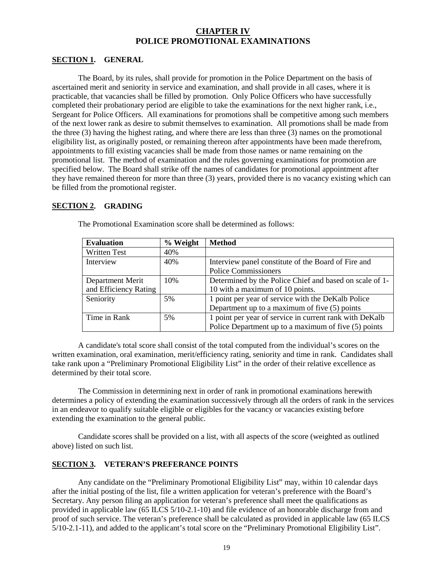#### **CHAPTER IV POLICE PROMOTIONAL EXAMINATIONS**

#### **SECTION 1. GENERAL**

The Board, by its rules, shall provide for promotion in the Police Department on the basis of ascertained merit and seniority in service and examination, and shall provide in all cases, where it is practicable, that vacancies shall be filled by promotion. Only Police Officers who have successfully completed their probationary period are eligible to take the examinations for the next higher rank, i.e., Sergeant for Police Officers. All examinations for promotions shall be competitive among such members of the next lower rank as desire to submit themselves to examination. All promotions shall be made from the three (3) having the highest rating, and where there are less than three (3) names on the promotional eligibility list, as originally posted, or remaining thereon after appointments have been made therefrom, appointments to fill existing vacancies shall be made from those names or name remaining on the promotional list. The method of examination and the rules governing examinations for promotion are specified below. The Board shall strike off the names of candidates for promotional appointment after they have remained thereon for more than three (3) years, provided there is no vacancy existing which can be filled from the promotional register.

#### **SECTION 2. GRADING**

| <b>Evaluation</b>       | % Weight                    | <b>Method</b>                                           |  |
|-------------------------|-----------------------------|---------------------------------------------------------|--|
| <b>Written Test</b>     | 40%                         |                                                         |  |
| Interview               | 40%                         | Interview panel constitute of the Board of Fire and     |  |
|                         | <b>Police Commissioners</b> |                                                         |  |
| 10%<br>Department Merit |                             | Determined by the Police Chief and based on scale of 1- |  |
| and Efficiency Rating   |                             | 10 with a maximum of 10 points.                         |  |
| Seniority               | 5%                          | 1 point per year of service with the DeKalb Police      |  |
|                         |                             | Department up to a maximum of five $(5)$ points         |  |
| Time in Rank            | 5%                          | 1 point per year of service in current rank with DeKalb |  |
|                         |                             | Police Department up to a maximum of five (5) points    |  |

The Promotional Examination score shall be determined as follows:

A candidate's total score shall consist of the total computed from the individual's scores on the written examination, oral examination, merit/efficiency rating, seniority and time in rank. Candidates shall take rank upon a "Preliminary Promotional Eligibility List" in the order of their relative excellence as determined by their total score.

The Commission in determining next in order of rank in promotional examinations herewith determines a policy of extending the examination successively through all the orders of rank in the services in an endeavor to qualify suitable eligible or eligibles for the vacancy or vacancies existing before extending the examination to the general public.

Candidate scores shall be provided on a list, with all aspects of the score (weighted as outlined above) listed on such list.

#### **SECTION 3. VETERAN'S PREFERANCE POINTS**

Any candidate on the "Preliminary Promotional Eligibility List" may, within 10 calendar days after the initial posting of the list, file a written application for veteran's preference with the Board's Secretary. Any person filing an application for veteran's preference shall meet the qualifications as provided in applicable law (65 ILCS 5/10-2.1-10) and file evidence of an honorable discharge from and proof of such service. The veteran's preference shall be calculated as provided in applicable law (65 ILCS 5/10-2.1-11), and added to the applicant's total score on the "Preliminary Promotional Eligibility List".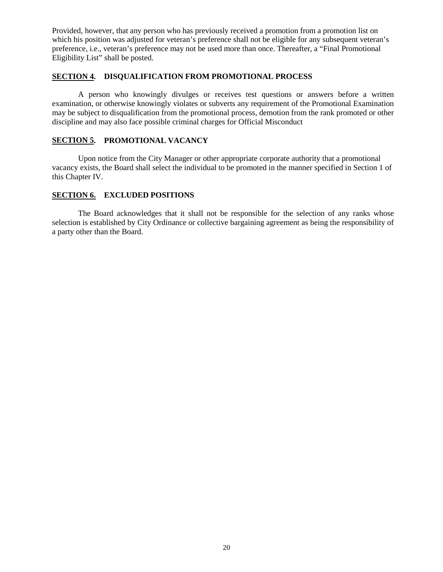Provided, however, that any person who has previously received a promotion from a promotion list on which his position was adjusted for veteran's preference shall not be eligible for any subsequent veteran's preference, i.e., veteran's preference may not be used more than once. Thereafter, a "Final Promotional Eligibility List" shall be posted.

#### **SECTION 4. DISQUALIFICATION FROM PROMOTIONAL PROCESS**

A person who knowingly divulges or receives test questions or answers before a written examination, or otherwise knowingly violates or subverts any requirement of the Promotional Examination may be subject to disqualification from the promotional process, demotion from the rank promoted or other discipline and may also face possible criminal charges for Official Misconduct

#### **SECTION 5. PROMOTIONAL VACANCY**

Upon notice from the City Manager or other appropriate corporate authority that a promotional vacancy exists, the Board shall select the individual to be promoted in the manner specified in Section 1 of this Chapter IV.

#### **SECTION 6. EXCLUDED POSITIONS**

The Board acknowledges that it shall not be responsible for the selection of any ranks whose selection is established by City Ordinance or collective bargaining agreement as being the responsibility of a party other than the Board.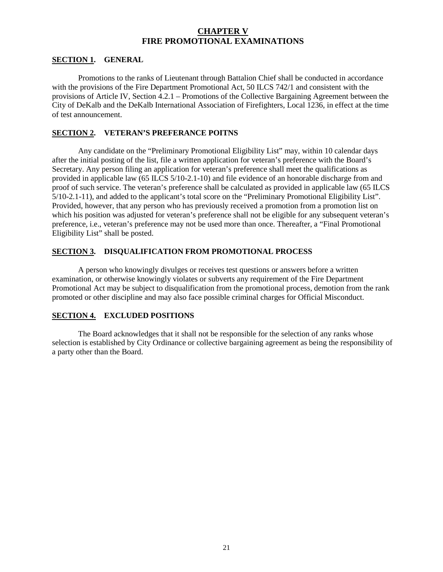#### **CHAPTER V FIRE PROMOTIONAL EXAMINATIONS**

#### **SECTION 1. GENERAL**

Promotions to the ranks of Lieutenant through Battalion Chief shall be conducted in accordance with the provisions of the Fire Department Promotional Act, 50 ILCS 742/1 and consistent with the provisions of Article IV, Section 4.2.1 – Promotions of the Collective Bargaining Agreement between the City of DeKalb and the DeKalb International Association of Firefighters, Local 1236, in effect at the time of test announcement.

#### **SECTION 2. VETERAN'S PREFERANCE POITNS**

Any candidate on the "Preliminary Promotional Eligibility List" may, within 10 calendar days after the initial posting of the list, file a written application for veteran's preference with the Board's Secretary. Any person filing an application for veteran's preference shall meet the qualifications as provided in applicable law (65 ILCS 5/10-2.1-10) and file evidence of an honorable discharge from and proof of such service. The veteran's preference shall be calculated as provided in applicable law (65 ILCS 5/10-2.1-11), and added to the applicant's total score on the "Preliminary Promotional Eligibility List". Provided, however, that any person who has previously received a promotion from a promotion list on which his position was adjusted for veteran's preference shall not be eligible for any subsequent veteran's preference, i.e., veteran's preference may not be used more than once. Thereafter, a "Final Promotional Eligibility List" shall be posted.

#### **SECTION 3. DISQUALIFICATION FROM PROMOTIONAL PROCESS**

A person who knowingly divulges or receives test questions or answers before a written examination, or otherwise knowingly violates or subverts any requirement of the Fire Department Promotional Act may be subject to disqualification from the promotional process, demotion from the rank promoted or other discipline and may also face possible criminal charges for Official Misconduct.

#### **SECTION 4. EXCLUDED POSITIONS**

The Board acknowledges that it shall not be responsible for the selection of any ranks whose selection is established by City Ordinance or collective bargaining agreement as being the responsibility of a party other than the Board.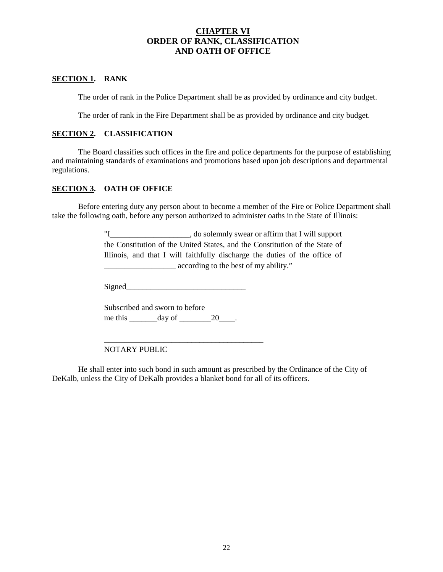### **CHAPTER VI ORDER OF RANK, CLASSIFICATION AND OATH OF OFFICE**

#### **SECTION 1. RANK**

The order of rank in the Police Department shall be as provided by ordinance and city budget.

The order of rank in the Fire Department shall be as provided by ordinance and city budget.

#### **SECTION 2. CLASSIFICATION**

The Board classifies such offices in the fire and police departments for the purpose of establishing and maintaining standards of examinations and promotions based upon job descriptions and departmental regulations.

#### **SECTION 3. OATH OF OFFICE**

Before entering duty any person about to become a member of the Fire or Police Department shall take the following oath, before any person authorized to administer oaths in the State of Illinois:

> "I \_\_\_\_\_\_\_\_\_\_\_\_\_\_\_\_\_, do solemnly swear or affirm that I will support the Constitution of the United States, and the Constitution of the State of Illinois, and that I will faithfully discharge the duties of the office of \_\_\_\_\_\_\_\_\_\_\_\_\_\_\_\_\_\_ according to the best of my ability."

Signed\_\_\_\_\_\_\_\_\_\_\_\_\_\_\_\_\_\_\_\_\_\_\_\_\_\_\_\_\_\_

|         | Subscribed and sworn to before |    |
|---------|--------------------------------|----|
| me this | day of                         | 20 |

\_\_\_\_\_\_\_\_\_\_\_\_\_\_\_\_\_\_\_\_\_\_\_\_\_\_\_\_\_\_\_\_\_\_\_\_\_\_\_\_

NOTARY PUBLIC

He shall enter into such bond in such amount as prescribed by the Ordinance of the City of DeKalb, unless the City of DeKalb provides a blanket bond for all of its officers.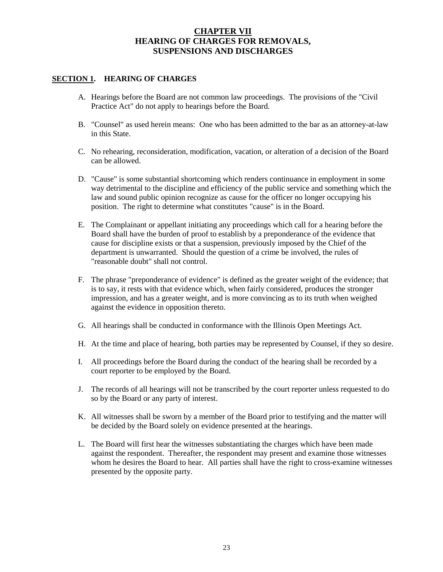### **CHAPTER VII HEARING OF CHARGES FOR REMOVALS, SUSPENSIONS AND DISCHARGES**

#### **SECTION 1. HEARING OF CHARGES**

- A. Hearings before the Board are not common law proceedings. The provisions of the "Civil Practice Act" do not apply to hearings before the Board.
- B. "Counsel" as used herein means: One who has been admitted to the bar as an attorney-at-law in this State.
- C. No rehearing, reconsideration, modification, vacation, or alteration of a decision of the Board can be allowed.
- D. "Cause" is some substantial shortcoming which renders continuance in employment in some way detrimental to the discipline and efficiency of the public service and something which the law and sound public opinion recognize as cause for the officer no longer occupying his position. The right to determine what constitutes "cause" is in the Board.
- E. The Complainant or appellant initiating any proceedings which call for a hearing before the Board shall have the burden of proof to establish by a preponderance of the evidence that cause for discipline exists or that a suspension, previously imposed by the Chief of the department is unwarranted. Should the question of a crime be involved, the rules of "reasonable doubt" shall not control.
- F. The phrase "preponderance of evidence" is defined as the greater weight of the evidence; that is to say, it rests with that evidence which, when fairly considered, produces the stronger impression, and has a greater weight, and is more convincing as to its truth when weighed against the evidence in opposition thereto.
- G. All hearings shall be conducted in conformance with the Illinois Open Meetings Act.
- H. At the time and place of hearing, both parties may be represented by Counsel, if they so desire.
- I. All proceedings before the Board during the conduct of the hearing shall be recorded by a court reporter to be employed by the Board.
- J. The records of all hearings will not be transcribed by the court reporter unless requested to do so by the Board or any party of interest.
- K. All witnesses shall be sworn by a member of the Board prior to testifying and the matter will be decided by the Board solely on evidence presented at the hearings.
- L. The Board will first hear the witnesses substantiating the charges which have been made against the respondent. Thereafter, the respondent may present and examine those witnesses whom he desires the Board to hear. All parties shall have the right to cross-examine witnesses presented by the opposite party.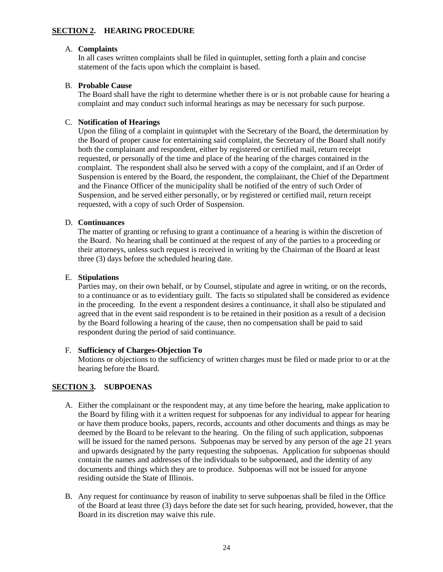#### **SECTION 2. HEARING PROCEDURE**

#### A. **Complaints**

In all cases written complaints shall be filed in quintuplet, setting forth a plain and concise statement of the facts upon which the complaint is based.

#### B. **Probable Cause**

The Board shall have the right to determine whether there is or is not probable cause for hearing a complaint and may conduct such informal hearings as may be necessary for such purpose.

#### C. **Notification of Hearings**

Upon the filing of a complaint in quintuplet with the Secretary of the Board, the determination by the Board of proper cause for entertaining said complaint, the Secretary of the Board shall notify both the complainant and respondent, either by registered or certified mail, return receipt requested, or personally of the time and place of the hearing of the charges contained in the complaint. The respondent shall also be served with a copy of the complaint, and if an Order of Suspension is entered by the Board, the respondent, the complainant, the Chief of the Department and the Finance Officer of the municipality shall be notified of the entry of such Order of Suspension, and be served either personally, or by registered or certified mail, return receipt requested, with a copy of such Order of Suspension.

#### D. **Continuances**

The matter of granting or refusing to grant a continuance of a hearing is within the discretion of the Board. No hearing shall be continued at the request of any of the parties to a proceeding or their attorneys, unless such request is received in writing by the Chairman of the Board at least three (3) days before the scheduled hearing date.

#### E. **Stipulations**

Parties may, on their own behalf, or by Counsel, stipulate and agree in writing, or on the records, to a continuance or as to evidentiary guilt. The facts so stipulated shall be considered as evidence in the proceeding. In the event a respondent desires a continuance, it shall also be stipulated and agreed that in the event said respondent is to be retained in their position as a result of a decision by the Board following a hearing of the cause, then no compensation shall be paid to said respondent during the period of said continuance.

#### F. **Sufficiency of Charges-Objection To**

Motions or objections to the sufficiency of written charges must be filed or made prior to or at the hearing before the Board.

#### **SECTION 3. SUBPOENAS**

- A. Either the complainant or the respondent may, at any time before the hearing, make application to the Board by filing with it a written request for subpoenas for any individual to appear for hearing or have them produce books, papers, records, accounts and other documents and things as may be deemed by the Board to be relevant to the hearing. On the filing of such application, subpoenas will be issued for the named persons. Subpoenas may be served by any person of the age 21 years and upwards designated by the party requesting the subpoenas. Application for subpoenas should contain the names and addresses of the individuals to be subpoenaed, and the identity of any documents and things which they are to produce. Subpoenas will not be issued for anyone residing outside the State of Illinois.
- B. Any request for continuance by reason of inability to serve subpoenas shall be filed in the Office of the Board at least three (3) days before the date set for such hearing, provided, however, that the Board in its discretion may waive this rule.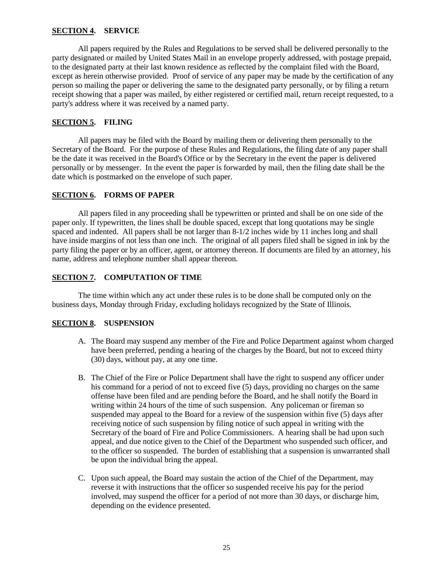#### **SECTION 4. SERVICE**

All papers required by the Rules and Regulations to be served shall be delivered personally to the party designated or mailed by United States Mail in an envelope properly addressed, with postage prepaid, to the designated party at their last known residence as reflected by the complaint filed with the Board, except as herein otherwise provided. Proof of service of any paper may be made by the certification of any person so mailing the paper or delivering the same to the designated party personally, or by filing a return receipt showing that a paper was mailed, by either registered or certified mail, return receipt requested, to a party's address where it was received by a named party.

#### **SECTION 5. FILING**

All papers may be filed with the Board by mailing them or delivering them personally to the Secretary of the Board. For the purpose of these Rules and Regulations, the filing date of any paper shall be the date it was received in the Board's Office or by the Secretary in the event the paper is delivered personally or by messenger. In the event the paper is forwarded by mail, then the filing date shall be the date which is postmarked on the envelope of such paper.

#### **SECTION 6. FORMS OF PAPER**

All papers filed in any proceeding shall be typewritten or printed and shall be on one side of the paper only. If typewritten, the lines shall be double spaced, except that long quotations may be single spaced and indented. All papers shall be not larger than 8-1/2 inches wide by 11 inches long and shall have inside margins of not less than one inch. The original of all papers filed shall be signed in ink by the party filing the paper or by an officer, agent, or attorney thereon. If documents are filed by an attorney, his name, address and telephone number shall appear thereon.

#### **SECTION 7. COMPUTATION OF TIME**

The time within which any act under these rules is to be done shall be computed only on the business days, Monday through Friday, excluding holidays recognized by the State of Illinois.

#### **SECTION 8. SUSPENSION**

- A. The Board may suspend any member of the Fire and Police Department against whom charged have been preferred, pending a hearing of the charges by the Board, but not to exceed thirty (30) days, without pay, at any one time.
- B. The Chief of the Fire or Police Department shall have the right to suspend any officer under his command for a period of not to exceed five (5) days, providing no charges on the same offense have been filed and are pending before the Board, and he shall notify the Board in writing within 24 hours of the time of such suspension. Any policeman or fireman so suspended may appeal to the Board for a review of the suspension within five (5) days after receiving notice of such suspension by filing notice of such appeal in writing with the Secretary of the board of Fire and Police Commissioners. A hearing shall be had upon such appeal, and due notice given to the Chief of the Department who suspended such officer, and to the officer so suspended. The burden of establishing that a suspension is unwarranted shall be upon the individual bring the appeal.
- C. Upon such appeal, the Board may sustain the action of the Chief of the Department, may reverse it with instructions that the officer so suspended receive his pay for the period involved, may suspend the officer for a period of not more than 30 days, or discharge him, depending on the evidence presented.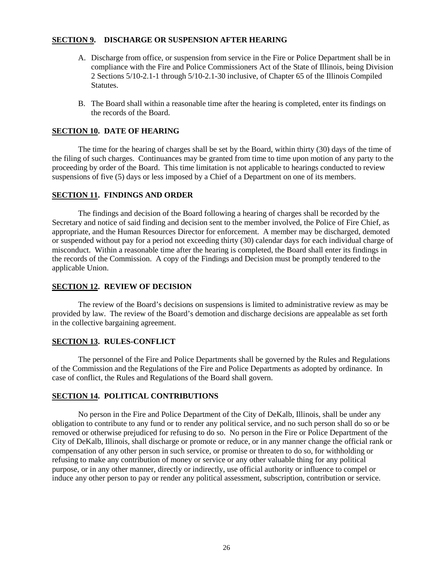#### **SECTION 9. DISCHARGE OR SUSPENSION AFTER HEARING**

- A. Discharge from office, or suspension from service in the Fire or Police Department shall be in compliance with the Fire and Police Commissioners Act of the State of Illinois, being Division 2 Sections 5/10-2.1-1 through 5/10-2.1-30 inclusive, of Chapter 65 of the Illinois Compiled Statutes.
- B. The Board shall within a reasonable time after the hearing is completed, enter its findings on the records of the Board.

#### **SECTION 10. DATE OF HEARING**

The time for the hearing of charges shall be set by the Board, within thirty (30) days of the time of the filing of such charges. Continuances may be granted from time to time upon motion of any party to the proceeding by order of the Board. This time limitation is not applicable to hearings conducted to review suspensions of five (5) days or less imposed by a Chief of a Department on one of its members.

#### **SECTION 11. FINDINGS AND ORDER**

The findings and decision of the Board following a hearing of charges shall be recorded by the Secretary and notice of said finding and decision sent to the member involved, the Police of Fire Chief, as appropriate, and the Human Resources Director for enforcement. A member may be discharged, demoted or suspended without pay for a period not exceeding thirty (30) calendar days for each individual charge of misconduct. Within a reasonable time after the hearing is completed, the Board shall enter its findings in the records of the Commission. A copy of the Findings and Decision must be promptly tendered to the applicable Union.

#### **SECTION 12. REVIEW OF DECISION**

The review of the Board's decisions on suspensions is limited to administrative review as may be provided by law. The review of the Board's demotion and discharge decisions are appealable as set forth in the collective bargaining agreement.

#### **SECTION 13. RULES-CONFLICT**

The personnel of the Fire and Police Departments shall be governed by the Rules and Regulations of the Commission and the Regulations of the Fire and Police Departments as adopted by ordinance. In case of conflict, the Rules and Regulations of the Board shall govern.

#### **SECTION 14. POLITICAL CONTRIBUTIONS**

No person in the Fire and Police Department of the City of DeKalb, Illinois, shall be under any obligation to contribute to any fund or to render any political service, and no such person shall do so or be removed or otherwise prejudiced for refusing to do so. No person in the Fire or Police Department of the City of DeKalb, Illinois, shall discharge or promote or reduce, or in any manner change the official rank or compensation of any other person in such service, or promise or threaten to do so, for withholding or refusing to make any contribution of money or service or any other valuable thing for any political purpose, or in any other manner, directly or indirectly, use official authority or influence to compel or induce any other person to pay or render any political assessment, subscription, contribution or service.